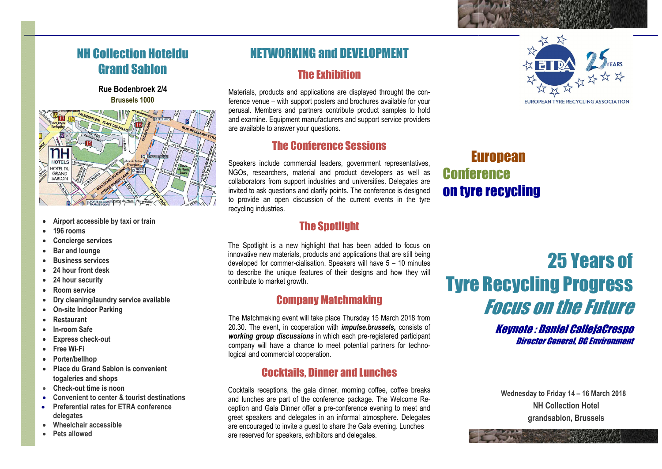## NH Collection Hoteldu Grand Sablon

Rue Bodenbroek 2/4 Brussels 1000



- Airport accessible by taxi or train
- 196 rooms
- Concierge services
- Bar and lounge
- Business services
- 24 hour front desk
- 24 hour security
- Room service
- Dry cleaning/laundry service available
- On-site Indoor Parking
- Restaurant
- In-room Safe
- Express check-out
- Free Wi-Fi
- Porter/bellhop
- Place du Grand Sablon is convenient togaleries and shops
- Check-out time is noon
- Convenient to center & tourist destinations
- Preferential rates for ETRA conference delegates
- Wheelchair accessible
- Pets allowed

## NETWORKING and DEVELOPMENT The Exhibition

Materials, products and applications are displayed throught the conference venue venue – with support posters and brochures available for your perusal. Members and partners contribute product samples to hold and examine. Equipment manufacturers and support serv and support service providers are available to answer your questions.

## The Conference Sessions

Speakers include commercial leaders, government representatives, NGOs, researchers, material and product developers as well as collaborators collaborators from support industries and universities. Delegates are invited to ask questions and clarify points. The conference is designed to provide an open discussion of the current events in the tyre recycling industries. invited to ask questions and clarify points. The conference is desig<br>to provide an open discussion of the current events in the<br>recycling industries. **EUTOPEAN**<br>
So, researchers, material and product developers as well as<br> **EUTOPEAN**<br>
So, researchers, material and product developers as well as<br> **COMPTEANCE**<br>
Solotidot as devestions and dentify points. The conference is

## The Spotlight

The Spotlight is a new highlight that has been added to focus on innovative new materials, products and applications that are still being developed for commer-cialisation. Speakers will have 5 - 10 minutes to describe the unique features of their designs and how they will contribute to market growth. contribute to

### Company Matchmaking

The Matchmaking event will take place Thursday 15 March 2018 from 20.30 20.30. The event, in cooperation with *impulse.brussels,* consists of working group discussions in which each pre-registered participant company will have a chance to meet potential partners for technological and commercial cooperation.

## Cocktails, Dinner and Lunches

Cocktails receptions, the gala dinner, morning coffee, coffee breaks and lunches are part of the conference package. The Welcome Reception and Gala Dinner offer a pre-conference evening to meet and greet speakers and delegates in an informal atmosphere. Delegates are encouraged to invite a guest to share the Gala evening. Lunches are reserved for speakers, exhibitors and delegates.



# **Conference** on tyre recycling

## Tyre Recycling Progress 25 Years of Focus on the Future

Keynote : Daniel CallejaCrespo Director General, DG Environment

Wednesday to Friday 14 – 16 March 2018 NH Collection Hotel grandsablon, Brussels